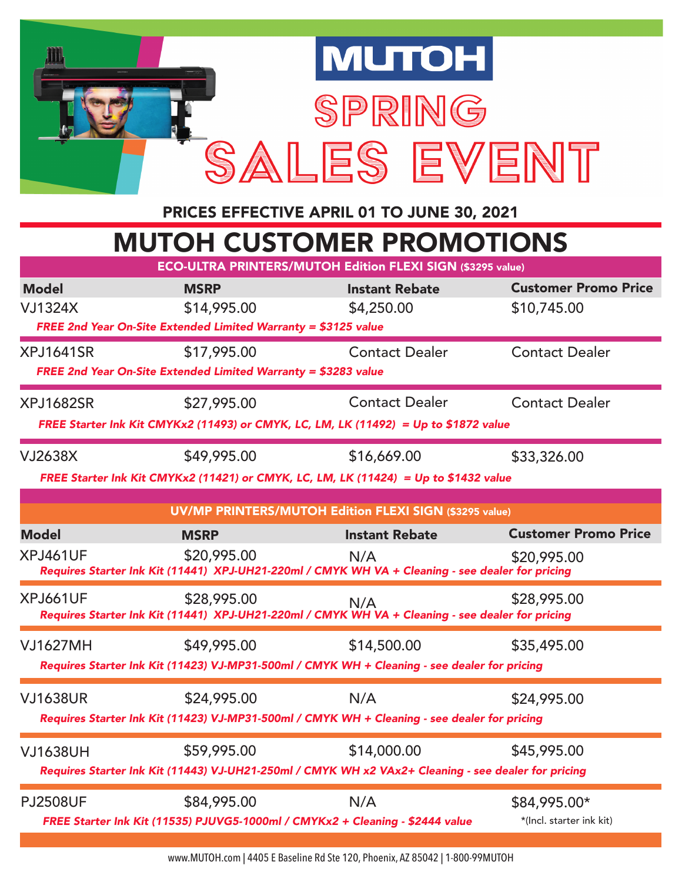

PRICES EFFECTIVE APRIL 01 TO JUNE 30, 2021

## MUTOH CUSTOMER PROMOTIONS

| <b>ECO-ULTRA PRINTERS/MUTOH Edition FLEXI SIGN (\$3295 value)</b> |                                                                |                                                                                                         |                             |  |
|-------------------------------------------------------------------|----------------------------------------------------------------|---------------------------------------------------------------------------------------------------------|-----------------------------|--|
| <b>Model</b>                                                      | <b>MSRP</b>                                                    | <b>Instant Rebate</b>                                                                                   | <b>Customer Promo Price</b> |  |
| <b>VJ1324X</b>                                                    | \$14,995.00                                                    | \$4,250.00                                                                                              | \$10,745.00                 |  |
|                                                                   | FREE 2nd Year On-Site Extended Limited Warranty = \$3125 value |                                                                                                         |                             |  |
| <b>XPJ1641SR</b>                                                  | \$17,995.00                                                    | <b>Contact Dealer</b>                                                                                   | <b>Contact Dealer</b>       |  |
|                                                                   | FREE 2nd Year On-Site Extended Limited Warranty = \$3283 value |                                                                                                         |                             |  |
| <b>XPJ1682SR</b>                                                  | \$27,995.00                                                    | <b>Contact Dealer</b>                                                                                   | <b>Contact Dealer</b>       |  |
|                                                                   |                                                                | FREE Starter Ink Kit CMYKx2 (11493) or CMYK, LC, LM, LK (11492) = Up to \$1872 value                    |                             |  |
| <b>VJ2638X</b>                                                    | \$49,995.00                                                    | \$16,669.00                                                                                             | \$33,326.00                 |  |
|                                                                   |                                                                | FREE Starter Ink Kit CMYKx2 (11421) or CMYK, LC, LM, LK (11424) = Up to \$1432 value                    |                             |  |
|                                                                   |                                                                | <b>UV/MP PRINTERS/MUTOH Edition FLEXI SIGN (\$3295 value)</b>                                           |                             |  |
|                                                                   |                                                                |                                                                                                         |                             |  |
| <b>Model</b>                                                      | <b>MSRP</b>                                                    | <b>Instant Rebate</b>                                                                                   | <b>Customer Promo Price</b> |  |
| XPJ461UF                                                          | \$20,995.00                                                    | N/A<br>Requires Starter Ink Kit (11441) XPJ-UH21-220ml / CMYK WH VA + Cleaning - see dealer for pricing | \$20,995.00                 |  |
| XPJ661UF                                                          | \$28,995.00                                                    | N/A                                                                                                     | \$28,995.00                 |  |
|                                                                   |                                                                | Requires Starter Ink Kit (11441) XPJ-UH21-220ml / CMYK WH VA + Cleaning - see dealer for pricing        |                             |  |
| <b>VJ1627MH</b>                                                   | \$49,995.00                                                    | \$14,500.00                                                                                             | \$35,495.00                 |  |
|                                                                   |                                                                | Requires Starter Ink Kit (11423) VJ-MP31-500ml / CMYK WH + Cleaning - see dealer for pricing            |                             |  |
| <b>VJ1638UR</b>                                                   | \$24,995.00                                                    | N/A                                                                                                     | \$24,995.00                 |  |
|                                                                   |                                                                | Requires Starter Ink Kit (11423) VJ-MP31-500ml / CMYK WH + Cleaning - see dealer for pricing            |                             |  |
| <b>VJ1638UH</b>                                                   | \$59,995.00                                                    | \$14,000.00                                                                                             | \$45,995.00                 |  |
|                                                                   |                                                                | Requires Starter Ink Kit (11443) VJ-UH21-250ml / CMYK WH x2 VAx2+ Cleaning - see dealer for pricing     |                             |  |
| <b>PJ2508UF</b>                                                   | \$84,995.00                                                    | N/A                                                                                                     | \$84,995.00*                |  |
|                                                                   |                                                                | FREE Starter Ink Kit (11535) PJUVG5-1000ml / CMYKx2 + Cleaning - \$2444 value                           | *(Incl. starter ink kit)    |  |

www.MUTOH.com | 4405 E Baseline Rd Ste 120, Phoenix, AZ 85042 | 1-800-99MUTOH